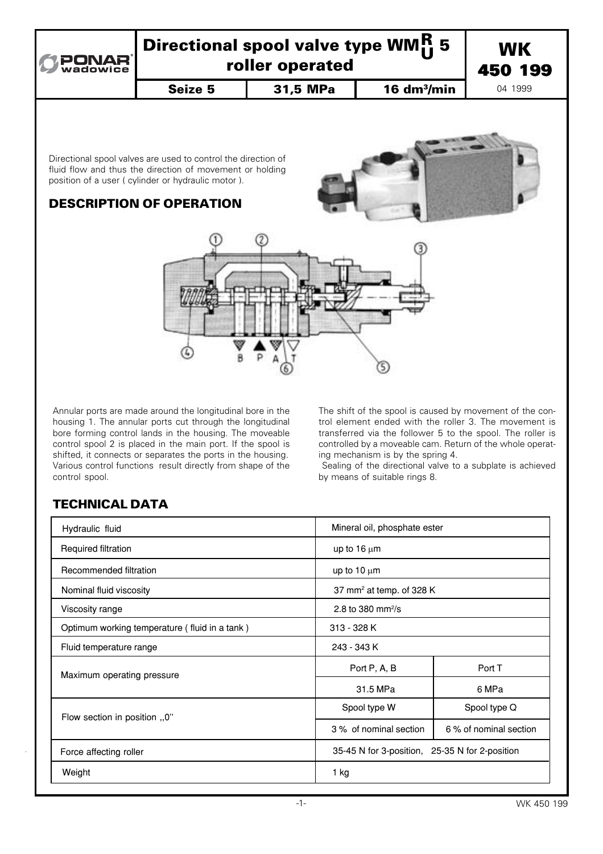

# Directional spool valve type WMH 5<br>roller operated R



Seize 5 | 31,5 MPa | 16 dm<sup>3</sup>/min

04 1999

Directional spool valves are used to control the direction of fluid flow and thus the direction of movement or holding position of a user ( cylinder or hydraulic motor ).

## DESCRIPTION OF OPERATION



Annular ports are made around the longitudinal bore in the housing 1. The annular ports cut through the longitudinal bore forming control lands in the housing. The moveable control spool 2 is placed in the main port. If the spool is shifted, it connects or separates the ports in the housing. Various control functions result directly from shape of the control spool.

The shift of the spool is caused by movement of the con− trol element ended with the roller 3. The movement is transferred via the follower 5 to the spool. The roller is controlled by a moveable cam. Return of the whole operat− ing mechanism is by the spring 4.

 Sealing of the directional valve to a subplate is achieved by means of suitable rings 8.

# TECHNICAL DATA

| Hydraulic fluid                               |                               | Mineral oil, phosphate ester                   |  |
|-----------------------------------------------|-------------------------------|------------------------------------------------|--|
| Required filtration                           | up to $16 \mu m$              |                                                |  |
| Recommended filtration                        | up to $10 \mu m$              |                                                |  |
| Nominal fluid viscosity                       |                               | 37 mm <sup>2</sup> at temp. of 328 K           |  |
| Viscosity range                               | 2.8 to 380 mm <sup>2</sup> /s |                                                |  |
| Optimum working temperature (fluid in a tank) | 313 - 328 K                   |                                                |  |
| Fluid temperature range                       | 243 - 343 K                   |                                                |  |
| Maximum operating pressure                    | Port P, A, B                  | Port T                                         |  |
|                                               | 31.5 MPa                      | 6 MPa                                          |  |
| Flow section in position 0"                   | Spool type W                  | Spool type Q                                   |  |
|                                               | 3 % of nominal section        | 6 % of nominal section                         |  |
| Force affecting roller                        |                               | 35-45 N for 3-position, 25-35 N for 2-position |  |
| Weight                                        | 1 kg                          |                                                |  |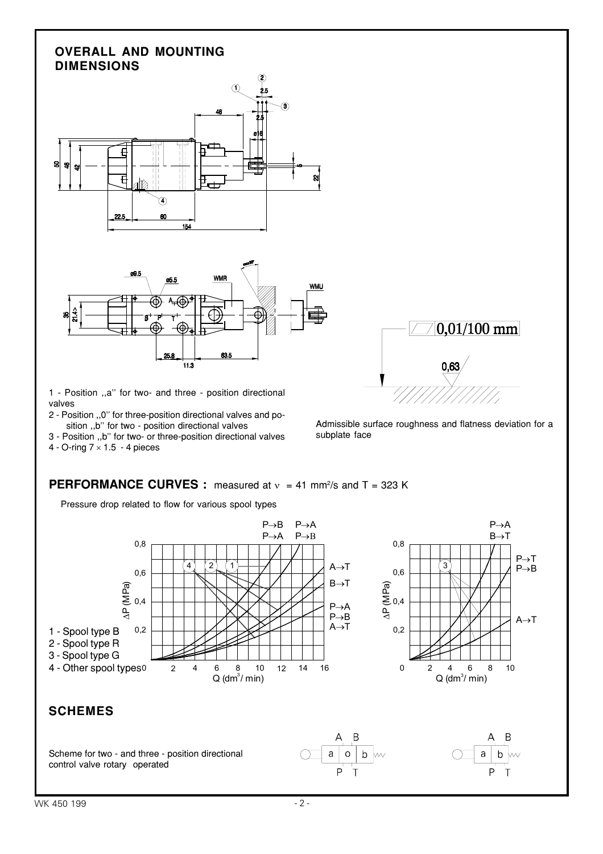#### **OVERALL AND MOUNTING DIMENSIONS**





1 - Position ,,a'' for two- and three - position directional valves

- 2 Position ,,0'' for three-position directional valves and po sition ,,b'' for two - position directional valves
- 3 Position ,,b'' for two- or three-position directional valves



Admissible surface roughness and flatness deviation for a subplate face

 $^{\prime}100\:\mathrm{mm}$ 

# **PERFORMANCE CURVES :** measured at  $v = 41$  mm<sup>2</sup>/s and T = 323 K

Pressure drop related to flow for various spool types

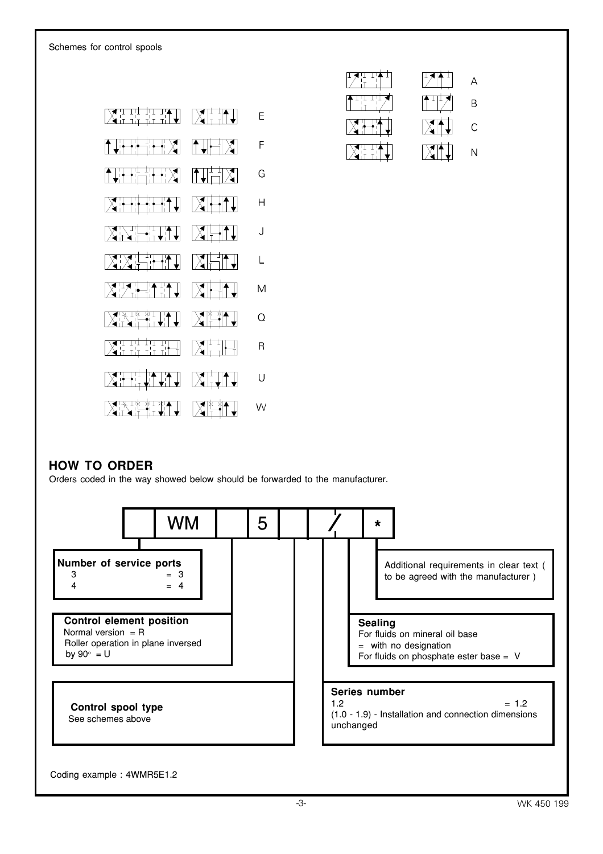Schemes for control spools





#### **HOW TO ORDER**

Orders coded in the way showed below should be forwarded to the manufacturer.



#### Coding example : 4WMR5E1.2